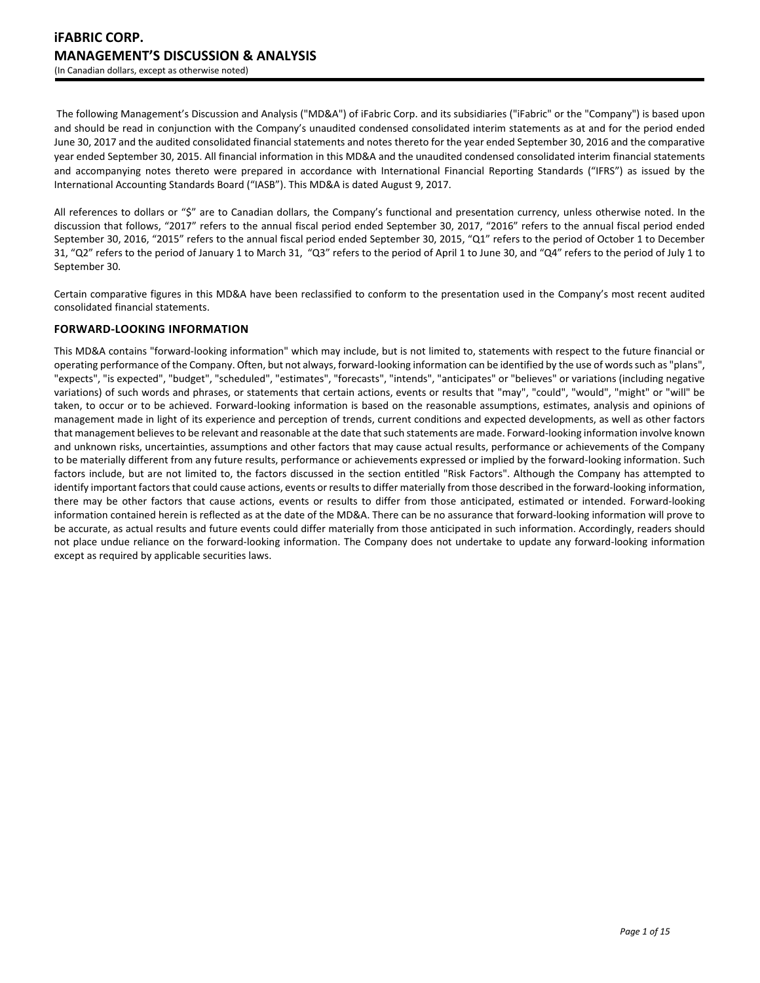The following Management's Discussion and Analysis ("MD&A") of iFabric Corp. and its subsidiaries ("iFabric" or the "Company") is based upon and should be read in conjunction with the Company's unaudited condensed consolidated interim statements as at and for the period ended June 30, 2017 and the audited consolidated financial statements and notes thereto for the year ended September 30, 2016 and the comparative year ended September 30, 2015. All financial information in this MD&A and the unaudited condensed consolidated interim financial statements and accompanying notes thereto were prepared in accordance with International Financial Reporting Standards ("IFRS") as issued by the International Accounting Standards Board ("IASB"). This MD&A is dated August 9, 2017.

All references to dollars or "\$" are to Canadian dollars, the Company's functional and presentation currency, unless otherwise noted. In the discussion that follows, "2017" refers to the annual fiscal period ended September 30, 2017, "2016" refers to the annual fiscal period ended September 30, 2016, "2015" refers to the annual fiscal period ended September 30, 2015, "Q1" refers to the period of October 1 to December 31, "Q2" refers to the period of January 1 to March 31, "Q3" refers to the period of April 1 to June 30, and "Q4" refers to the period of July 1 to September 30.

Certain comparative figures in this MD&A have been reclassified to conform to the presentation used in the Company's most recent audited consolidated financial statements.

# **FORWARD-LOOKING INFORMATION**

This MD&A contains "forward-looking information" which may include, but is not limited to, statements with respect to the future financial or operating performance of the Company. Often, but not always, forward-looking information can be identified by the use of words such as "plans", "expects", "is expected", "budget", "scheduled", "estimates", "forecasts", "intends", "anticipates" or "believes" or variations (including negative variations) of such words and phrases, or statements that certain actions, events or results that "may", "could", "would", "might" or "will" be taken, to occur or to be achieved. Forward-looking information is based on the reasonable assumptions, estimates, analysis and opinions of management made in light of its experience and perception of trends, current conditions and expected developments, as well as other factors that management believes to be relevant and reasonable at the date that such statements are made. Forward-looking information involve known and unknown risks, uncertainties, assumptions and other factors that may cause actual results, performance or achievements of the Company to be materially different from any future results, performance or achievements expressed or implied by the forward-looking information. Such factors include, but are not limited to, the factors discussed in the section entitled "Risk Factors". Although the Company has attempted to identify important factors that could cause actions, events or results to differ materially from those described in the forward-looking information, there may be other factors that cause actions, events or results to differ from those anticipated, estimated or intended. Forward-looking information contained herein is reflected as at the date of the MD&A. There can be no assurance that forward-looking information will prove to be accurate, as actual results and future events could differ materially from those anticipated in such information. Accordingly, readers should not place undue reliance on the forward-looking information. The Company does not undertake to update any forward-looking information except as required by applicable securities laws.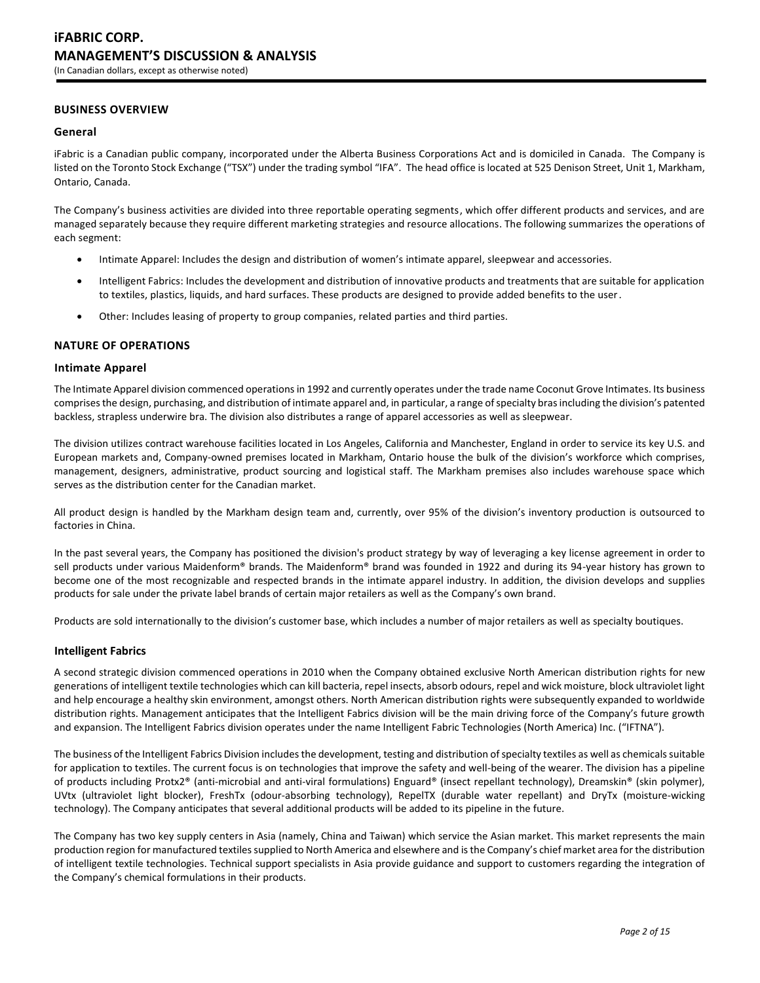# **BUSINESS OVERVIEW**

### **General**

iFabric is a Canadian public company, incorporated under the Alberta Business Corporations Act and is domiciled in Canada. The Company is listed on the Toronto Stock Exchange ("TSX") under the trading symbol "IFA". The head office is located at 525 Denison Street, Unit 1, Markham, Ontario, Canada.

The Company's business activities are divided into three reportable operating segments, which offer different products and services, and are managed separately because they require different marketing strategies and resource allocations. The following summarizes the operations of each segment:

- Intimate Apparel: Includes the design and distribution of women's intimate apparel, sleepwear and accessories.
- Intelligent Fabrics: Includes the development and distribution of innovative products and treatments that are suitable for application to textiles, plastics, liquids, and hard surfaces. These products are designed to provide added benefits to the user.
- Other: Includes leasing of property to group companies, related parties and third parties.

### **NATURE OF OPERATIONS**

### **Intimate Apparel**

The Intimate Apparel division commenced operations in 1992 and currently operates under the trade name Coconut Grove Intimates. Its business comprises the design, purchasing, and distribution of intimate apparel and, in particular, a range of specialty bras including the division's patented backless, strapless underwire bra. The division also distributes a range of apparel accessories as well as sleepwear.

The division utilizes contract warehouse facilities located in Los Angeles, California and Manchester, England in order to service its key U.S. and European markets and, Company-owned premises located in Markham, Ontario house the bulk of the division's workforce which comprises, management, designers, administrative, product sourcing and logistical staff. The Markham premises also includes warehouse space which serves as the distribution center for the Canadian market.

All product design is handled by the Markham design team and, currently, over 95% of the division's inventory production is outsourced to factories in China.

In the past several years, the Company has positioned the division's product strategy by way of leveraging a key license agreement in order to sell products under various Maidenform® brands. The Maidenform® brand was founded in 1922 and during its 94-year history has grown to become one of the most recognizable and respected brands in the intimate apparel industry. In addition, the division develops and supplies products for sale under the private label brands of certain major retailers as well as the Company's own brand.

Products are sold internationally to the division's customer base, which includes a number of major retailers as well as specialty boutiques.

### **Intelligent Fabrics**

A second strategic division commenced operations in 2010 when the Company obtained exclusive North American distribution rights for new generations of intelligent textile technologies which can kill bacteria, repel insects, absorb odours, repel and wick moisture, block ultraviolet light and help encourage a healthy skin environment, amongst others. North American distribution rights were subsequently expanded to worldwide distribution rights. Management anticipates that the Intelligent Fabrics division will be the main driving force of the Company's future growth and expansion. The Intelligent Fabrics division operates under the name Intelligent Fabric Technologies (North America) Inc. ("IFTNA").

The business of the Intelligent Fabrics Division includes the development, testing and distribution of specialty textiles as well as chemicals suitable for application to textiles. The current focus is on technologies that improve the safety and well-being of the wearer. The division has a pipeline of products including Protx2® (anti-microbial and anti-viral formulations) Enguard® (insect repellant technology), Dreamskin® (skin polymer), UVtx (ultraviolet light blocker), FreshTx (odour-absorbing technology), RepelTX (durable water repellant) and DryTx (moisture-wicking technology). The Company anticipates that several additional products will be added to its pipeline in the future.

The Company has two key supply centers in Asia (namely, China and Taiwan) which service the Asian market. This market represents the main production region for manufactured textiles supplied to North America and elsewhere and is the Company's chief market area for the distribution of intelligent textile technologies. Technical support specialists in Asia provide guidance and support to customers regarding the integration of the Company's chemical formulations in their products.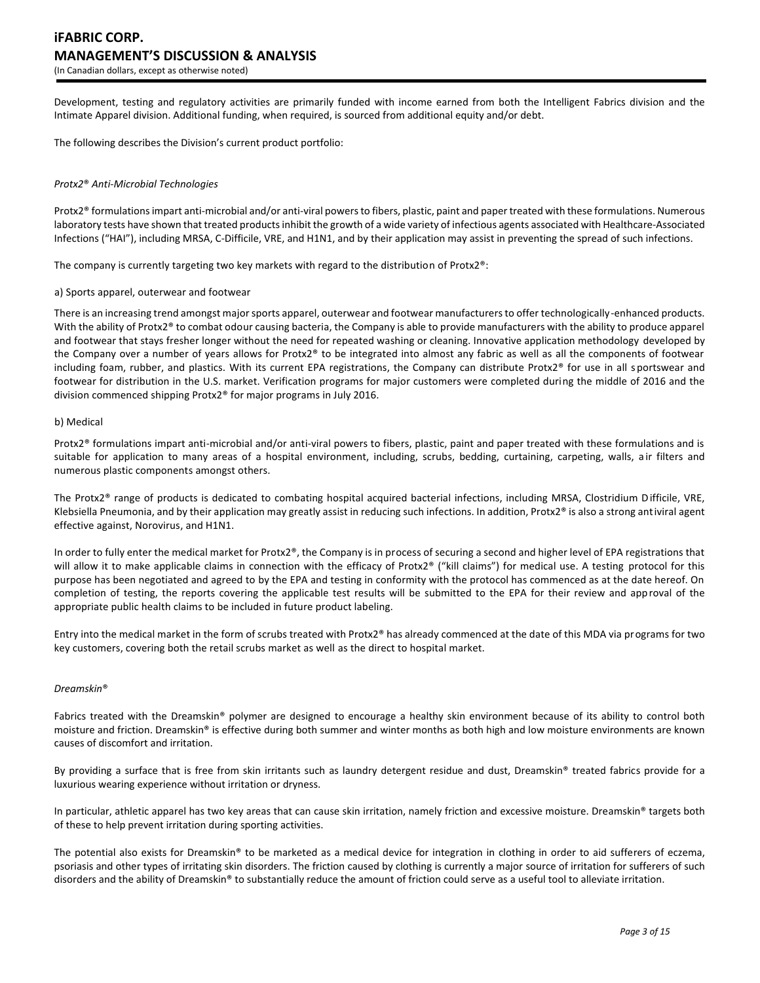Development, testing and regulatory activities are primarily funded with income earned from both the Intelligent Fabrics division and the Intimate Apparel division. Additional funding, when required, is sourced from additional equity and/or debt.

The following describes the Division's current product portfolio:

#### *Protx2*® *Anti-Microbial Technologies*

Protx2® formulations impart anti-microbial and/or anti-viral powers to fibers, plastic, paint and paper treated with these formulations. Numerous laboratory tests have shown that treated products inhibit the growth of a wide variety of infectious agents associated with Healthcare-Associated Infections ("HAI"), including MRSA, C-Difficile, VRE, and H1N1, and by their application may assist in preventing the spread of such infections.

The company is currently targeting two key markets with regard to the distribution of Protx2®:

#### a) Sports apparel, outerwear and footwear

There is an increasing trend amongst major sports apparel, outerwear and footwear manufacturers to offer technologically-enhanced products. With the ability of Protx2® to combat odour causing bacteria, the Company is able to provide manufacturers with the ability to produce apparel and footwear that stays fresher longer without the need for repeated washing or cleaning. Innovative application methodology developed by the Company over a number of years allows for Protx2® to be integrated into almost any fabric as well as all the components of footwear including foam, rubber, and plastics. With its current EPA registrations, the Company can distribute Protx2® for use in all s portswear and footwear for distribution in the U.S. market. Verification programs for major customers were completed during the middle of 2016 and the division commenced shipping Protx2® for major programs in July 2016.

#### b) Medical

Protx2® formulations impart anti-microbial and/or anti-viral powers to fibers, plastic, paint and paper treated with these formulations and is suitable for application to many areas of a hospital environment, including, scrubs, bedding, curtaining, carpeting, walls, air filters and numerous plastic components amongst others.

The Protx2® range of products is dedicated to combating hospital acquired bacterial infections, including MRSA, Clostridium Difficile, VRE, Klebsiella Pneumonia, and by their application may greatly assist in reducing such infections. In addition, Protx2® is also a strong antiviral agent effective against, Norovirus, and H1N1.

In order to fully enter the medical market for Protx2®, the Company is in process of securing a second and higher level of EPA registrations that will allow it to make applicable claims in connection with the efficacy of Protx2® ("kill claims") for medical use. A testing protocol for this purpose has been negotiated and agreed to by the EPA and testing in conformity with the protocol has commenced as at the date hereof. On completion of testing, the reports covering the applicable test results will be submitted to the EPA for their review and approval of the appropriate public health claims to be included in future product labeling.

Entry into the medical market in the form of scrubs treated with Protx2® has already commenced at the date of this MDA via programs for two key customers, covering both the retail scrubs market as well as the direct to hospital market.

#### *Dreamskin*®

Fabrics treated with the Dreamskin® polymer are designed to encourage a healthy skin environment because of its ability to control both moisture and friction. Dreamskin® is effective during both summer and winter months as both high and low moisture environments are known causes of discomfort and irritation.

By providing a surface that is free from skin irritants such as laundry detergent residue and dust, Dreamskin® treated fabrics provide for a luxurious wearing experience without irritation or dryness.

In particular, athletic apparel has two key areas that can cause skin irritation, namely friction and excessive moisture. Dreamskin® targets both of these to help prevent irritation during sporting activities.

The potential also exists for Dreamskin® to be marketed as a medical device for integration in clothing in order to aid sufferers of eczema, psoriasis and other types of irritating skin disorders. The friction caused by clothing is currently a major source of irritation for sufferers of such disorders and the ability of Dreamskin® to substantially reduce the amount of friction could serve as a useful tool to alleviate irritation.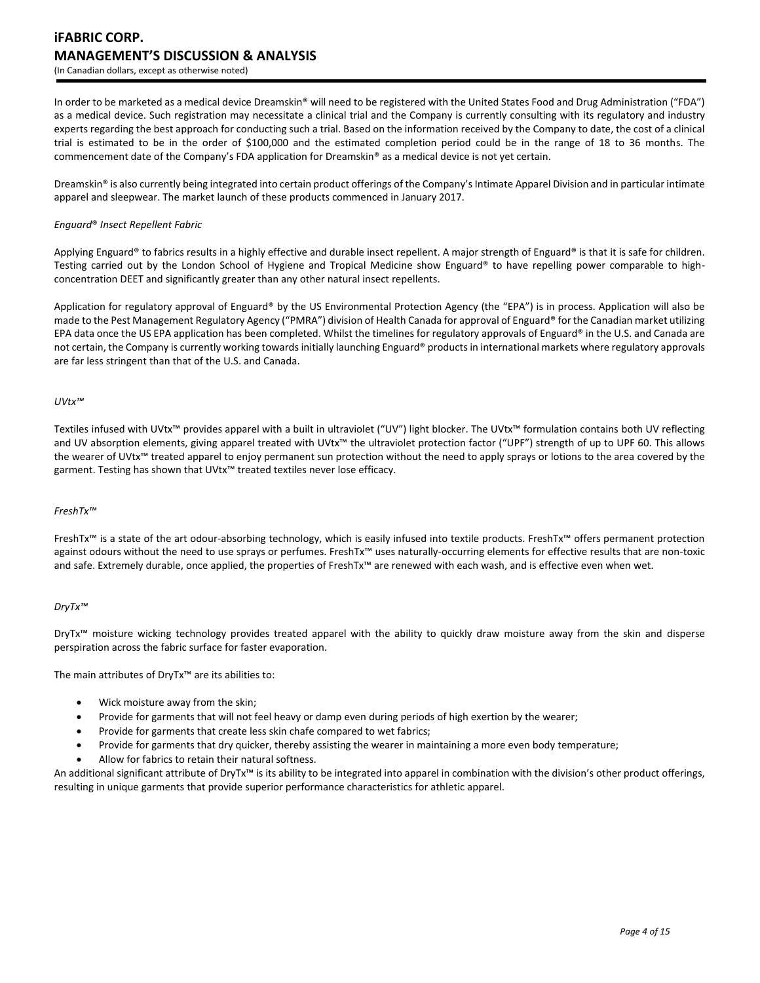In order to be marketed as a medical device Dreamskin® will need to be registered with the United States Food and Drug Administration ("FDA") as a medical device. Such registration may necessitate a clinical trial and the Company is currently consulting with its regulatory and industry experts regarding the best approach for conducting such a trial. Based on the information received by the Company to date, the cost of a clinical trial is estimated to be in the order of \$100,000 and the estimated completion period could be in the range of 18 to 36 months. The commencement date of the Company's FDA application for Dreamskin® as a medical device is not yet certain.

Dreamskin® is also currently being integrated into certain product offerings of the Company's Intimate Apparel Division and in particular intimate apparel and sleepwear. The market launch of these products commenced in January 2017.

#### *Enguard*® *Insect Repellent Fabric*

Applying Enguard® to fabrics results in a highly effective and durable insect repellent. A major strength of Enguard® is that it is safe for children. Testing carried out by the London School of Hygiene and Tropical Medicine show Enguard® to have repelling power comparable to highconcentration DEET and significantly greater than any other natural insect repellents.

Application for regulatory approval of Enguard® by the US Environmental Protection Agency (the "EPA") is in process. Application will also be made to the Pest Management Regulatory Agency ("PMRA") division of Health Canada for approval of Enguard® for the Canadian market utilizing EPA data once the US EPA application has been completed. Whilst the timelines for regulatory approvals of Enguard® in the U.S. and Canada are not certain, the Company is currently working towards initially launching Enguard® products in international markets where regulatory approvals are far less stringent than that of the U.S. and Canada.

#### *UVtx™*

Textiles infused with UVtx™ provides apparel with a built in ultraviolet ("UV") light blocker. The UVtx™ formulation contains both UV reflecting and UV absorption elements, giving apparel treated with UVtx™ the ultraviolet protection factor ("UPF") strength of up to UPF 60. This allows the wearer of UVtx™ treated apparel to enjoy permanent sun protection without the need to apply sprays or lotions to the area covered by the garment. Testing has shown that UVtx<sup>™</sup> treated textiles never lose efficacy.

#### *FreshTx™*

FreshTx™ is a state of the art odour-absorbing technology, which is easily infused into textile products. FreshTx™ offers permanent protection against odours without the need to use sprays or perfumes. FreshTx™ uses naturally-occurring elements for effective results that are non-toxic and safe. Extremely durable, once applied, the properties of FreshTx™ are renewed with each wash, and is effective even when wet.

### *DryTx™*

DryTx™ moisture wicking technology provides treated apparel with the ability to quickly draw moisture away from the skin and disperse perspiration across the fabric surface for faster evaporation.

The main attributes of DryTx™ are its abilities to:

- Wick moisture away from the skin;
- Provide for garments that will not feel heavy or damp even during periods of high exertion by the wearer;
- Provide for garments that create less skin chafe compared to wet fabrics;
- Provide for garments that dry quicker, thereby assisting the wearer in maintaining a more even body temperature;
- Allow for fabrics to retain their natural softness.

An additional significant attribute of DryTx™ is its ability to be integrated into apparel in combination with the division's other product offerings, resulting in unique garments that provide superior performance characteristics for athletic apparel.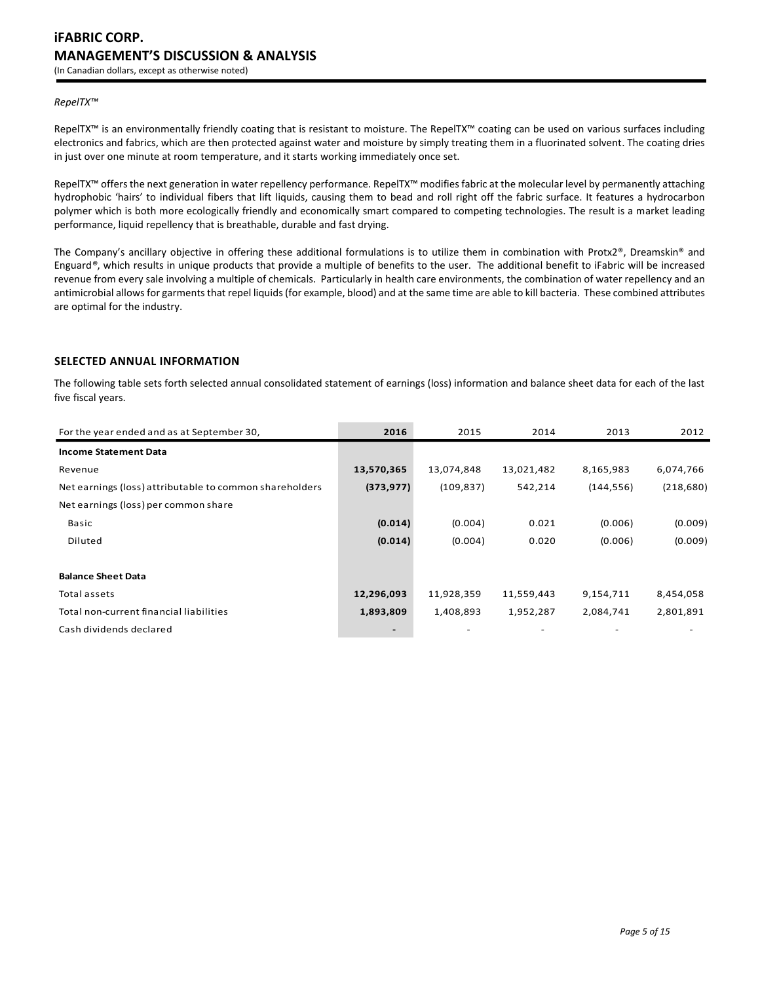## *RepelTX™*

RepelTX™ is an environmentally friendly coating that is resistant to moisture. The RepelTX™ coating can be used on various surfaces including electronics and fabrics, which are then protected against water and moisture by simply treating them in a fluorinated solvent. The coating dries in just over one minute at room temperature, and it starts working immediately once set.

RepelTX™ offers the next generation in water repellency performance. RepelTX™ modifies fabric at the molecular level by permanently attaching hydrophobic 'hairs' to individual fibers that lift liquids, causing them to bead and roll right off the fabric surface. It features a hydrocarbon polymer which is both more ecologically friendly and economically smart compared to competing technologies. The result is a market leading performance, liquid repellency that is breathable, durable and fast drying.

The Company's ancillary objective in offering these additional formulations is to utilize them in combination with Protx2®, Dreamskin® and Enguard*®*, which results in unique products that provide a multiple of benefits to the user. The additional benefit to iFabric will be increased revenue from every sale involving a multiple of chemicals. Particularly in health care environments, the combination of water repellency and an antimicrobial allows for garments that repel liquids (for example, blood) and at the same time are able to kill bacteria. These combined attributes are optimal for the industry.

# **SELECTED ANNUAL INFORMATION**

The following table sets forth selected annual consolidated statement of earnings (loss) information and balance sheet data for each of the last five fiscal years.

| For the year ended and as at September 30,              | 2016       | 2015       | 2014       | 2013       | 2012       |
|---------------------------------------------------------|------------|------------|------------|------------|------------|
| <b>Income Statement Data</b>                            |            |            |            |            |            |
| Revenue                                                 | 13,570,365 | 13,074,848 | 13,021,482 | 8,165,983  | 6,074,766  |
| Net earnings (loss) attributable to common shareholders | (373, 977) | (109, 837) | 542,214    | (144, 556) | (218, 680) |
| Net earnings (loss) per common share                    |            |            |            |            |            |
| <b>Basic</b>                                            | (0.014)    | (0.004)    | 0.021      | (0.006)    | (0.009)    |
| Diluted                                                 | (0.014)    | (0.004)    | 0.020      | (0.006)    | (0.009)    |
|                                                         |            |            |            |            |            |
| <b>Balance Sheet Data</b>                               |            |            |            |            |            |
| Total assets                                            | 12,296,093 | 11,928,359 | 11,559,443 | 9,154,711  | 8,454,058  |
| Total non-current financial liabilities                 | 1,893,809  | 1,408,893  | 1,952,287  | 2,084,741  | 2,801,891  |
| Cash dividends declared                                 |            |            |            |            |            |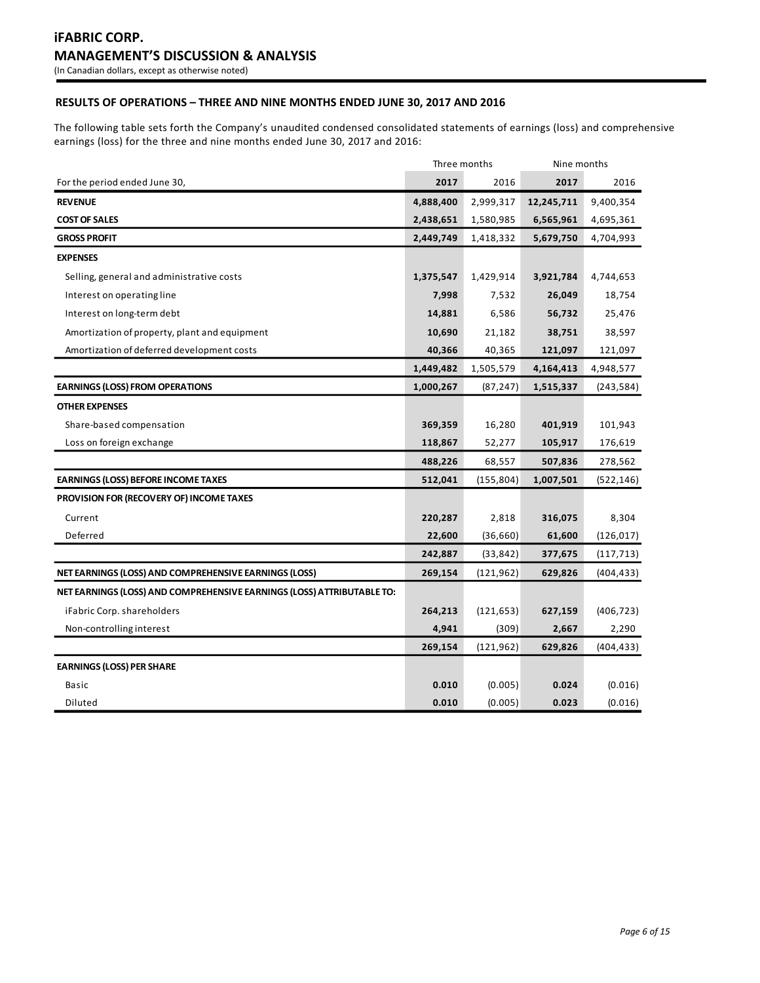# **RESULTS OF OPERATIONS – THREE AND NINE MONTHS ENDED JUNE 30, 2017 AND 2016**

The following table sets forth the Company's unaudited condensed consolidated statements of earnings (loss) and comprehensive earnings (loss) for the three and nine months ended June 30, 2017 and 2016:

|                                                                        | Three months |            | Nine months |            |
|------------------------------------------------------------------------|--------------|------------|-------------|------------|
| For the period ended June 30,                                          | 2017         | 2016       | 2017        | 2016       |
| <b>REVENUE</b>                                                         | 4,888,400    | 2,999,317  | 12,245,711  | 9,400,354  |
| <b>COST OF SALES</b>                                                   | 2,438,651    | 1,580,985  | 6,565,961   | 4,695,361  |
| <b>GROSS PROFIT</b>                                                    | 2,449,749    | 1,418,332  | 5,679,750   | 4,704,993  |
| <b>EXPENSES</b>                                                        |              |            |             |            |
| Selling, general and administrative costs                              | 1,375,547    | 1,429,914  | 3,921,784   | 4,744,653  |
| Interest on operating line                                             | 7,998        | 7,532      | 26,049      | 18,754     |
| Interest on long-term debt                                             | 14,881       | 6,586      | 56,732      | 25,476     |
| Amortization of property, plant and equipment                          | 10,690       | 21,182     | 38,751      | 38,597     |
| Amortization of deferred development costs                             | 40,366       | 40,365     | 121,097     | 121,097    |
|                                                                        | 1,449,482    | 1,505,579  | 4,164,413   | 4,948,577  |
| <b>EARNINGS (LOSS) FROM OPERATIONS</b>                                 | 1,000,267    | (87, 247)  | 1,515,337   | (243, 584) |
| <b>OTHER EXPENSES</b>                                                  |              |            |             |            |
| Share-based compensation                                               | 369,359      | 16,280     | 401,919     | 101,943    |
| Loss on foreign exchange                                               | 118,867      | 52,277     | 105,917     | 176,619    |
|                                                                        | 488,226      | 68,557     | 507,836     | 278,562    |
| <b>EARNINGS (LOSS) BEFORE INCOME TAXES</b>                             | 512,041      | (155, 804) | 1,007,501   | (522, 146) |
| <b>PROVISION FOR (RECOVERY OF) INCOME TAXES</b>                        |              |            |             |            |
| Current                                                                | 220,287      | 2,818      | 316,075     | 8,304      |
| Deferred                                                               | 22,600       | (36, 660)  | 61,600      | (126, 017) |
|                                                                        | 242,887      | (33, 842)  | 377,675     | (117, 713) |
| NET EARNINGS (LOSS) AND COMPREHENSIVE EARNINGS (LOSS)                  | 269,154      | (121, 962) | 629,826     | (404, 433) |
| NET EARNINGS (LOSS) AND COMPREHENSIVE EARNINGS (LOSS) ATTRIBUTABLE TO: |              |            |             |            |
| iFabric Corp. shareholders                                             | 264,213      | (121, 653) | 627,159     | (406, 723) |
| Non-controlling interest                                               | 4,941        | (309)      | 2,667       | 2,290      |
|                                                                        | 269,154      | (121, 962) | 629,826     | (404, 433) |
| <b>EARNINGS (LOSS) PER SHARE</b>                                       |              |            |             |            |
| Basic                                                                  | 0.010        | (0.005)    | 0.024       | (0.016)    |
| Diluted                                                                | 0.010        | (0.005)    | 0.023       | (0.016)    |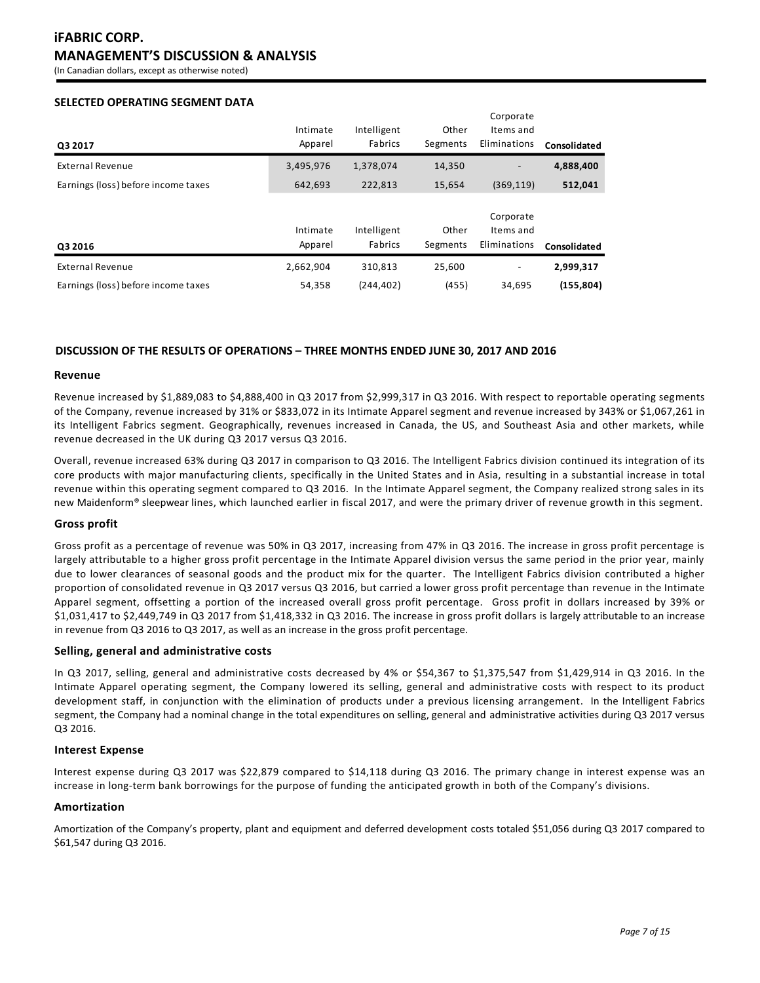(In Canadian dollars, except as otherwise noted)

# **SELECTED OPERATING SEGMENT DATA**

| Q3 2017                             | Intimate<br>Apparel | Intelligent<br>Fabrics | Other<br>Segments | Corporate<br>Items and<br>Eliminations | Consolidated |
|-------------------------------------|---------------------|------------------------|-------------------|----------------------------------------|--------------|
| <b>External Revenue</b>             | 3,495,976           | 1,378,074              | 14,350            |                                        | 4,888,400    |
| Earnings (loss) before income taxes | 642,693             | 222,813                | 15,654            | (369, 119)                             | 512,041      |
| Q3 2016                             | Intimate<br>Apparel | Intelligent<br>Fabrics | Other<br>Segments | Corporate<br>Items and<br>Eliminations | Consolidated |
| <b>External Revenue</b>             | 2,662,904           | 310,813                | 25,600            |                                        | 2,999,317    |
| Earnings (loss) before income taxes | 54.358              | (244.402)              | (455)             | 34,695                                 | (155, 804)   |

## **DISCUSSION OF THE RESULTS OF OPERATIONS – THREE MONTHS ENDED JUNE 30, 2017 AND 2016**

### **Revenue**

Revenue increased by \$1,889,083 to \$4,888,400 in Q3 2017 from \$2,999,317 in Q3 2016. With respect to reportable operating segments of the Company, revenue increased by 31% or \$833,072 in its Intimate Apparel segment and revenue increased by 343% or \$1,067,261 in its Intelligent Fabrics segment. Geographically, revenues increased in Canada, the US, and Southeast Asia and other markets, while revenue decreased in the UK during Q3 2017 versus Q3 2016.

Overall, revenue increased 63% during Q3 2017 in comparison to Q3 2016. The Intelligent Fabrics division continued its integration of its core products with major manufacturing clients, specifically in the United States and in Asia, resulting in a substantial increase in total revenue within this operating segment compared to Q3 2016. In the Intimate Apparel segment, the Company realized strong sales in its new Maidenform® sleepwear lines, which launched earlier in fiscal 2017, and were the primary driver of revenue growth in this segment.

### **Gross profit**

Gross profit as a percentage of revenue was 50% in Q3 2017, increasing from 47% in Q3 2016. The increase in gross profit percentage is largely attributable to a higher gross profit percentage in the Intimate Apparel division versus the same period in the prior year, mainly due to lower clearances of seasonal goods and the product mix for the quarter. The Intelligent Fabrics division contributed a higher proportion of consolidated revenue in Q3 2017 versus Q3 2016, but carried a lower gross profit percentage than revenue in the Intimate Apparel segment, offsetting a portion of the increased overall gross profit percentage. Gross profit in dollars increased by 39% or \$1,031,417 to \$2,449,749 in Q3 2017 from \$1,418,332 in Q3 2016. The increase in gross profit dollars is largely attributable to an increase in revenue from Q3 2016 to Q3 2017, as well as an increase in the gross profit percentage.

### **Selling, general and administrative costs**

In Q3 2017, selling, general and administrative costs decreased by 4% or \$54,367 to \$1,375,547 from \$1,429,914 in Q3 2016. In the Intimate Apparel operating segment, the Company lowered its selling, general and administrative costs with respect to its product development staff, in conjunction with the elimination of products under a previous licensing arrangement. In the Intelligent Fabrics segment, the Company had a nominal change in the total expenditures on selling, general and administrative activities during Q3 2017 versus Q3 2016.

## **Interest Expense**

Interest expense during Q3 2017 was \$22,879 compared to \$14,118 during Q3 2016. The primary change in interest expense was an increase in long-term bank borrowings for the purpose of funding the anticipated growth in both of the Company's divisions.

### **Amortization**

Amortization of the Company's property, plant and equipment and deferred development costs totaled \$51,056 during Q3 2017 compared to \$61,547 during Q3 2016.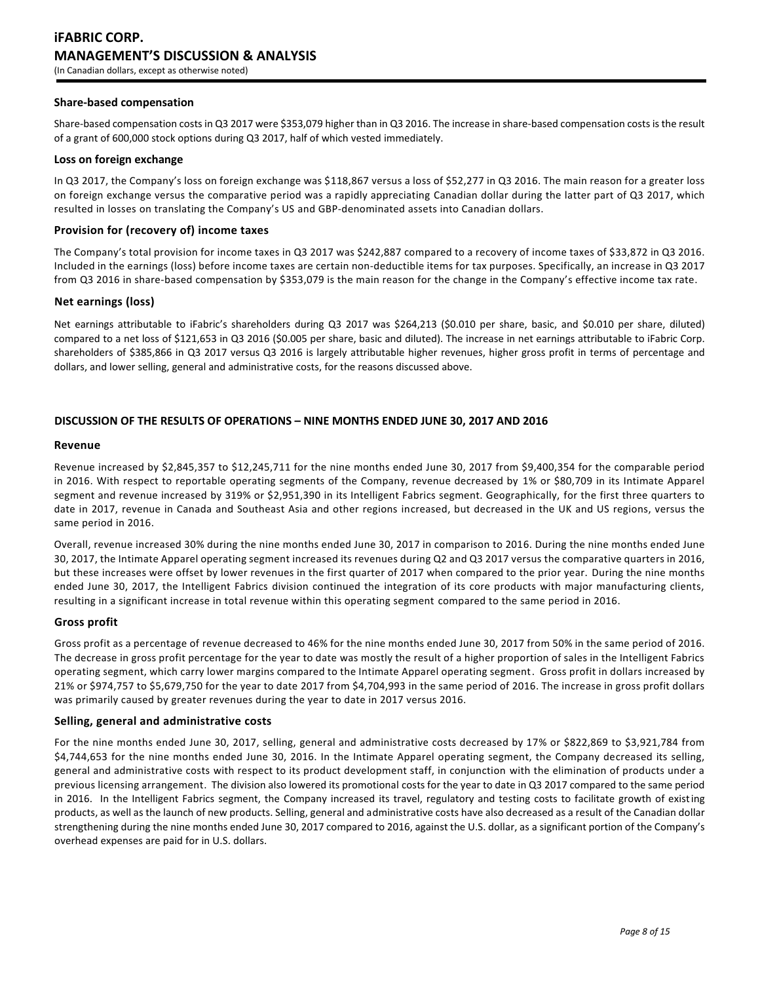## **Share-based compensation**

Share-based compensation costs in Q3 2017 were \$353,079 higher than in Q3 2016. The increase in share-based compensation costs is the result of a grant of 600,000 stock options during Q3 2017, half of which vested immediately.

#### **Loss on foreign exchange**

In Q3 2017, the Company's loss on foreign exchange was \$118,867 versus a loss of \$52,277 in Q3 2016. The main reason for a greater loss on foreign exchange versus the comparative period was a rapidly appreciating Canadian dollar during the latter part of Q3 2017, which resulted in losses on translating the Company's US and GBP-denominated assets into Canadian dollars.

## **Provision for (recovery of) income taxes**

The Company's total provision for income taxes in Q3 2017 was \$242,887 compared to a recovery of income taxes of \$33,872 in Q3 2016. Included in the earnings (loss) before income taxes are certain non-deductible items for tax purposes. Specifically, an increase in Q3 2017 from Q3 2016 in share-based compensation by \$353,079 is the main reason for the change in the Company's effective income tax rate.

## **Net earnings (loss)**

Net earnings attributable to iFabric's shareholders during Q3 2017 was \$264,213 (\$0.010 per share, basic, and \$0.010 per share, diluted) compared to a net loss of \$121,653 in Q3 2016 (\$0.005 per share, basic and diluted). The increase in net earnings attributable to iFabric Corp. shareholders of \$385,866 in Q3 2017 versus Q3 2016 is largely attributable higher revenues, higher gross profit in terms of percentage and dollars, and lower selling, general and administrative costs, for the reasons discussed above.

# **DISCUSSION OF THE RESULTS OF OPERATIONS – NINE MONTHS ENDED JUNE 30, 2017 AND 2016**

### **Revenue**

Revenue increased by \$2,845,357 to \$12,245,711 for the nine months ended June 30, 2017 from \$9,400,354 for the comparable period in 2016. With respect to reportable operating segments of the Company, revenue decreased by 1% or \$80,709 in its Intimate Apparel segment and revenue increased by 319% or \$2,951,390 in its Intelligent Fabrics segment. Geographically, for the first three quarters to date in 2017, revenue in Canada and Southeast Asia and other regions increased, but decreased in the UK and US regions, versus the same period in 2016.

Overall, revenue increased 30% during the nine months ended June 30, 2017 in comparison to 2016. During the nine months ended June 30, 2017, the Intimate Apparel operating segment increased its revenues during Q2 and Q3 2017 versus the comparative quarters in 2016, but these increases were offset by lower revenues in the first quarter of 2017 when compared to the prior year. During the nine months ended June 30, 2017, the Intelligent Fabrics division continued the integration of its core products with major manufacturing clients, resulting in a significant increase in total revenue within this operating segment compared to the same period in 2016.

# **Gross profit**

Gross profit as a percentage of revenue decreased to 46% for the nine months ended June 30, 2017 from 50% in the same period of 2016. The decrease in gross profit percentage for the year to date was mostly the result of a higher proportion of sales in the Intelligent Fabrics operating segment, which carry lower margins compared to the Intimate Apparel operating segment. Gross profit in dollars increased by 21% or \$974,757 to \$5,679,750 for the year to date 2017 from \$4,704,993 in the same period of 2016. The increase in gross profit dollars was primarily caused by greater revenues during the year to date in 2017 versus 2016.

## **Selling, general and administrative costs**

For the nine months ended June 30, 2017, selling, general and administrative costs decreased by 17% or \$822,869 to \$3,921,784 from \$4,744,653 for the nine months ended June 30, 2016. In the Intimate Apparel operating segment, the Company decreased its selling, general and administrative costs with respect to its product development staff, in conjunction with the elimination of products under a previous licensing arrangement. The division also lowered its promotional costs for the year to date in Q3 2017 compared to the same period in 2016. In the Intelligent Fabrics segment, the Company increased its travel, regulatory and testing costs to facilitate growth of existing products, as well as the launch of new products. Selling, general and administrative costs have also decreased as a result of the Canadian dollar strengthening during the nine months ended June 30, 2017 compared to 2016, against the U.S. dollar, as a significant portion of the Company's overhead expenses are paid for in U.S. dollars.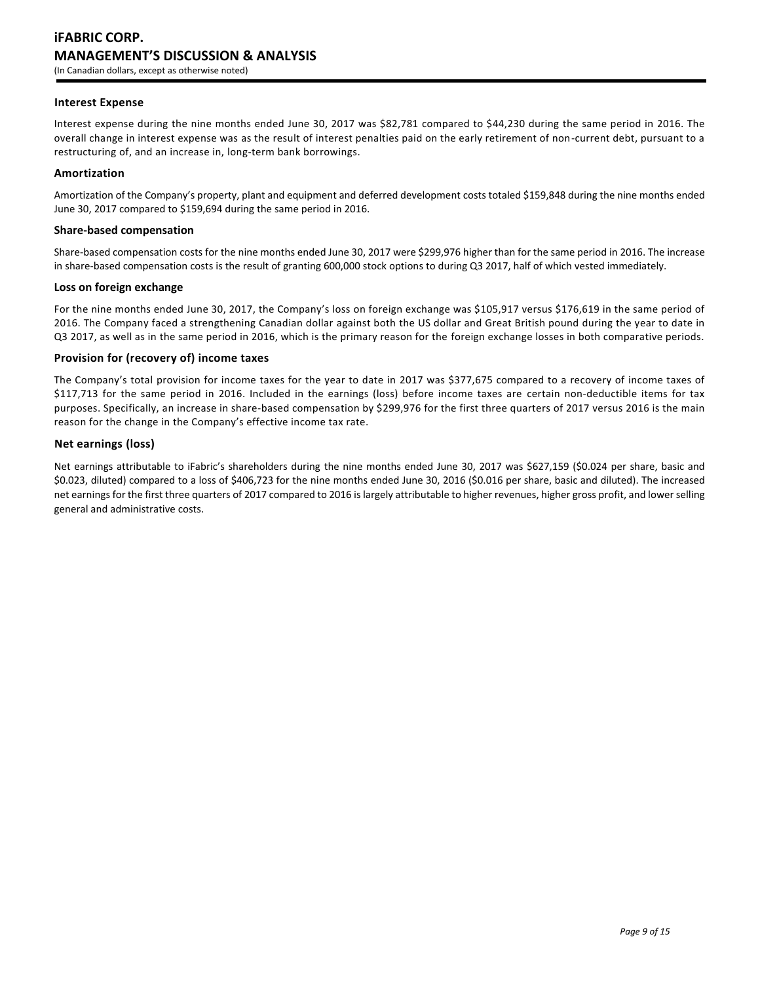## **Interest Expense**

Interest expense during the nine months ended June 30, 2017 was \$82,781 compared to \$44,230 during the same period in 2016. The overall change in interest expense was as the result of interest penalties paid on the early retirement of non-current debt, pursuant to a restructuring of, and an increase in, long-term bank borrowings.

## **Amortization**

Amortization of the Company's property, plant and equipment and deferred development costs totaled \$159,848 during the nine months ended June 30, 2017 compared to \$159,694 during the same period in 2016.

## **Share-based compensation**

Share-based compensation costs for the nine months ended June 30, 2017 were \$299,976 higher than for the same period in 2016. The increase in share-based compensation costs is the result of granting 600,000 stock options to during Q3 2017, half of which vested immediately.

### **Loss on foreign exchange**

For the nine months ended June 30, 2017, the Company's loss on foreign exchange was \$105,917 versus \$176,619 in the same period of 2016. The Company faced a strengthening Canadian dollar against both the US dollar and Great British pound during the year to date in Q3 2017, as well as in the same period in 2016, which is the primary reason for the foreign exchange losses in both comparative periods.

### **Provision for (recovery of) income taxes**

The Company's total provision for income taxes for the year to date in 2017 was \$377,675 compared to a recovery of income taxes of \$117,713 for the same period in 2016. Included in the earnings (loss) before income taxes are certain non-deductible items for tax purposes. Specifically, an increase in share-based compensation by \$299,976 for the first three quarters of 2017 versus 2016 is the main reason for the change in the Company's effective income tax rate.

### **Net earnings (loss)**

Net earnings attributable to iFabric's shareholders during the nine months ended June 30, 2017 was \$627,159 (\$0.024 per share, basic and \$0.023, diluted) compared to a loss of \$406,723 for the nine months ended June 30, 2016 (\$0.016 per share, basic and diluted). The increased net earnings for the first three quarters of 2017 compared to 2016 is largely attributable to higher revenues, higher gross profit, and lower selling general and administrative costs.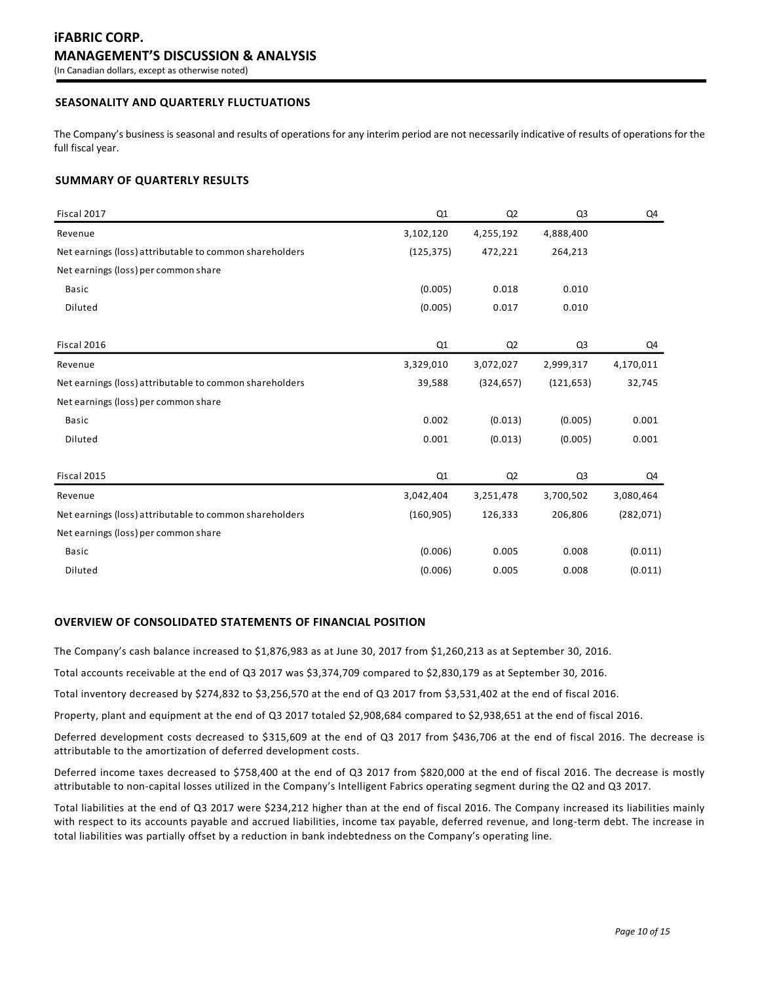# **SEASONALITY AND QUARTERLY FLUCTUATIONS**

The Company's business is seasonal and results of operations for any interim period are not necessarily indicative of results of operations for the full fiscal year.

## **SUMMARY OF QUARTERLY RESULTS**

| Fiscal 2017                                             | Q <sub>1</sub> | Q2         | Q <sub>3</sub> | Q4         |
|---------------------------------------------------------|----------------|------------|----------------|------------|
| Revenue                                                 | 3,102,120      | 4,255,192  | 4,888,400      |            |
| Net earnings (loss) attributable to common shareholders | (125, 375)     | 472,221    | 264,213        |            |
| Net earnings (loss) per common share                    |                |            |                |            |
| <b>Basic</b>                                            | (0.005)        | 0.018      | 0.010          |            |
| Diluted                                                 | (0.005)        | 0.017      | 0.010          |            |
| Fiscal 2016                                             | Q1             | Q2         | Q <sub>3</sub> | Q4         |
| Revenue                                                 | 3,329,010      | 3,072,027  | 2,999,317      | 4,170,011  |
| Net earnings (loss) attributable to common shareholders | 39,588         | (324, 657) | (121, 653)     | 32,745     |
| Net earnings (loss) per common share                    |                |            |                |            |
| <b>Basic</b>                                            | 0.002          | (0.013)    | (0.005)        | 0.001      |
| Diluted                                                 | 0.001          | (0.013)    | (0.005)        | 0.001      |
| Fiscal 2015                                             | Q1             | Q2         | Q <sub>3</sub> | Q4         |
| Revenue                                                 | 3,042,404      | 3,251,478  | 3,700,502      | 3,080,464  |
| Net earnings (loss) attributable to common shareholders | (160, 905)     | 126,333    | 206,806        | (282, 071) |
| Net earnings (loss) per common share                    |                |            |                |            |
| Basic                                                   | (0.006)        | 0.005      | 0.008          | (0.011)    |
| Diluted                                                 | (0.006)        | 0.005      | 0.008          | (0.011)    |

## **OVERVIEW OF CONSOLIDATED STATEMENTS OF FINANCIAL POSITION**

The Company's cash balance increased to \$1,876,983 as at June 30, 2017 from \$1,260,213 as at September 30, 2016.

Total accounts receivable at the end of Q3 2017 was \$3,374,709 compared to \$2,830,179 as at September 30, 2016.

Total inventory decreased by \$274,832 to \$3,256,570 at the end of Q3 2017 from \$3,531,402 at the end of fiscal 2016.

Property, plant and equipment at the end of Q3 2017 totaled \$2,908,684 compared to \$2,938,651 at the end of fiscal 2016.

Deferred development costs decreased to \$315,609 at the end of Q3 2017 from \$436,706 at the end of fiscal 2016. The decrease is attributable to the amortization of deferred development costs.

Deferred income taxes decreased to \$758,400 at the end of Q3 2017 from \$820,000 at the end of fiscal 2016. The decrease is mostly attributable to non-capital losses utilized in the Company's Intelligent Fabrics operating segment during the Q2 and Q3 2017.

Total liabilities at the end of Q3 2017 were \$234,212 higher than at the end of fiscal 2016. The Company increased its liabilities mainly with respect to its accounts payable and accrued liabilities, income tax payable, deferred revenue, and long-term debt. The increase in total liabilities was partially offset by a reduction in bank indebtedness on the Company's operating line.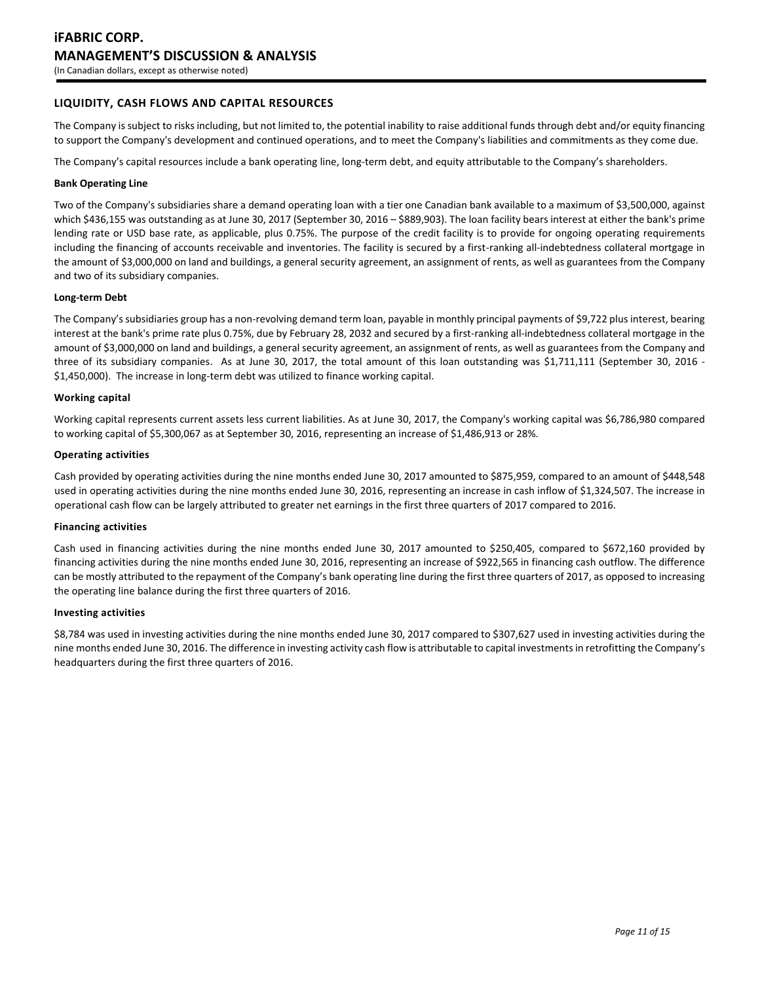# **LIQUIDITY, CASH FLOWS AND CAPITAL RESOURCES**

The Company is subject to risks including, but not limited to, the potential inability to raise additional funds through debt and/or equity financing to support the Company's development and continued operations, and to meet the Company's liabilities and commitments as they come due.

The Company's capital resources include a bank operating line, long-term debt, and equity attributable to the Company's shareholders.

#### **Bank Operating Line**

Two of the Company's subsidiaries share a demand operating loan with a tier one Canadian bank available to a maximum of \$3,500,000, against which \$436,155 was outstanding as at June 30, 2017 (September 30, 2016 – \$889,903). The loan facility bears interest at either the bank's prime lending rate or USD base rate, as applicable, plus 0.75%. The purpose of the credit facility is to provide for ongoing operating requirements including the financing of accounts receivable and inventories. The facility is secured by a first-ranking all-indebtedness collateral mortgage in the amount of \$3,000,000 on land and buildings, a general security agreement, an assignment of rents, as well as guarantees from the Company and two of its subsidiary companies.

#### **Long-term Debt**

The Company's subsidiaries group has a non-revolving demand term loan, payable in monthly principal payments of \$9,722 plus interest, bearing interest at the bank's prime rate plus 0.75%, due by February 28, 2032 and secured by a first-ranking all-indebtedness collateral mortgage in the amount of \$3,000,000 on land and buildings, a general security agreement, an assignment of rents, as well as guarantees from the Company and three of its subsidiary companies. As at June 30, 2017, the total amount of this loan outstanding was \$1,711,111 (September 30, 2016 - \$1,450,000). The increase in long-term debt was utilized to finance working capital.

#### **Working capital**

Working capital represents current assets less current liabilities. As at June 30, 2017, the Company's working capital was \$6,786,980 compared to working capital of \$5,300,067 as at September 30, 2016, representing an increase of \$1,486,913 or 28%.

#### **Operating activities**

Cash provided by operating activities during the nine months ended June 30, 2017 amounted to \$875,959, compared to an amount of \$448,548 used in operating activities during the nine months ended June 30, 2016, representing an increase in cash inflow of \$1,324,507. The increase in operational cash flow can be largely attributed to greater net earnings in the first three quarters of 2017 compared to 2016.

#### **Financing activities**

Cash used in financing activities during the nine months ended June 30, 2017 amounted to \$250,405, compared to \$672,160 provided by financing activities during the nine months ended June 30, 2016, representing an increase of \$922,565 in financing cash outflow. The difference can be mostly attributed to the repayment of the Company's bank operating line during the first three quarters of 2017, as opposed to increasing the operating line balance during the first three quarters of 2016.

## **Investing activities**

\$8,784 was used in investing activities during the nine months ended June 30, 2017 compared to \$307,627 used in investing activities during the nine months ended June 30, 2016. The difference in investing activity cash flow is attributable to capital investments in retrofitting the Company's headquarters during the first three quarters of 2016.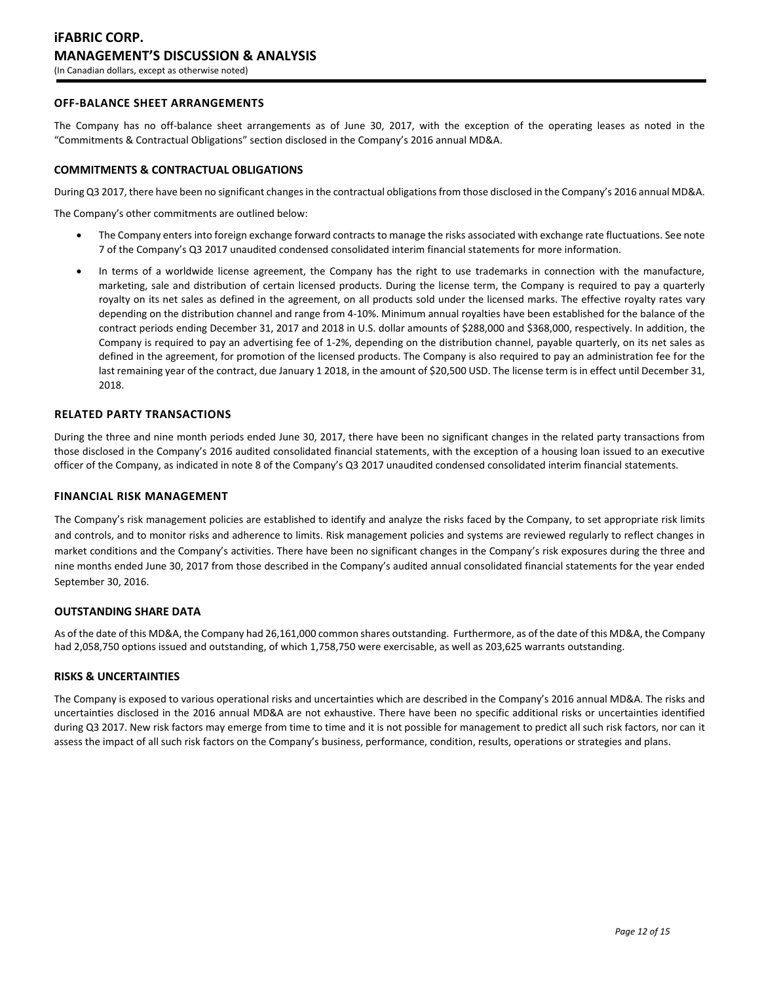# **OFF-BALANCE SHEET ARRANGEMENTS**

The Company has no off-balance sheet arrangements as of June 30, 2017, with the exception of the operating leases as noted in the "Commitments & Contractual Obligations" section disclosed in the Company's 2016 annual MD&A.

## **COMMITMENTS & CONTRACTUAL OBLIGATIONS**

During Q3 2017, there have been no significant changes in the contractual obligations from those disclosed in the Company's 2016 annual MD&A.

The Company's other commitments are outlined below:

- The Company enters into foreign exchange forward contracts to manage the risks associated with exchange rate fluctuations. See note 7 of the Company's Q3 2017 unaudited condensed consolidated interim financial statements for more information.
- In terms of a worldwide license agreement, the Company has the right to use trademarks in connection with the manufacture, marketing, sale and distribution of certain licensed products. During the license term, the Company is required to pay a quarterly royalty on its net sales as defined in the agreement, on all products sold under the licensed marks. The effective royalty rates vary depending on the distribution channel and range from 4-10%. Minimum annual royalties have been established for the balance of the contract periods ending December 31, 2017 and 2018 in U.S. dollar amounts of \$288,000 and \$368,000, respectively. In addition, the Company is required to pay an advertising fee of 1-2%, depending on the distribution channel, payable quarterly, on its net sales as defined in the agreement, for promotion of the licensed products. The Company is also required to pay an administration fee for the last remaining year of the contract, due January 1 2018, in the amount of \$20,500 USD. The license term is in effect until December 31, 2018.

### **RELATED PARTY TRANSACTIONS**

During the three and nine month periods ended June 30, 2017, there have been no significant changes in the related party transactions from those disclosed in the Company's 2016 audited consolidated financial statements, with the exception of a housing loan issued to an executive officer of the Company, as indicated in note 8 of the Company's Q3 2017 unaudited condensed consolidated interim financial statements.

### **FINANCIAL RISK MANAGEMENT**

The Company's risk management policies are established to identify and analyze the risks faced by the Company, to set appropriate risk limits and controls, and to monitor risks and adherence to limits. Risk management policies and systems are reviewed regularly to reflect changes in market conditions and the Company's activities. There have been no significant changes in the Company's risk exposures during the three and nine months ended June 30, 2017 from those described in the Company's audited annual consolidated financial statements for the year ended September 30, 2016.

### **OUTSTANDING SHARE DATA**

As of the date of this MD&A, the Company had 26,161,000 common shares outstanding. Furthermore, as of the date of this MD&A, the Company had 2,058,750 options issued and outstanding, of which 1,758,750 were exercisable, as well as 203,625 warrants outstanding.

### **RISKS & UNCERTAINTIES**

The Company is exposed to various operational risks and uncertainties which are described in the Company's 2016 annual MD&A. The risks and uncertainties disclosed in the 2016 annual MD&A are not exhaustive. There have been no specific additional risks or uncertainties identified during Q3 2017. New risk factors may emerge from time to time and it is not possible for management to predict all such risk factors, nor can it assess the impact of all such risk factors on the Company's business, performance, condition, results, operations or strategies and plans.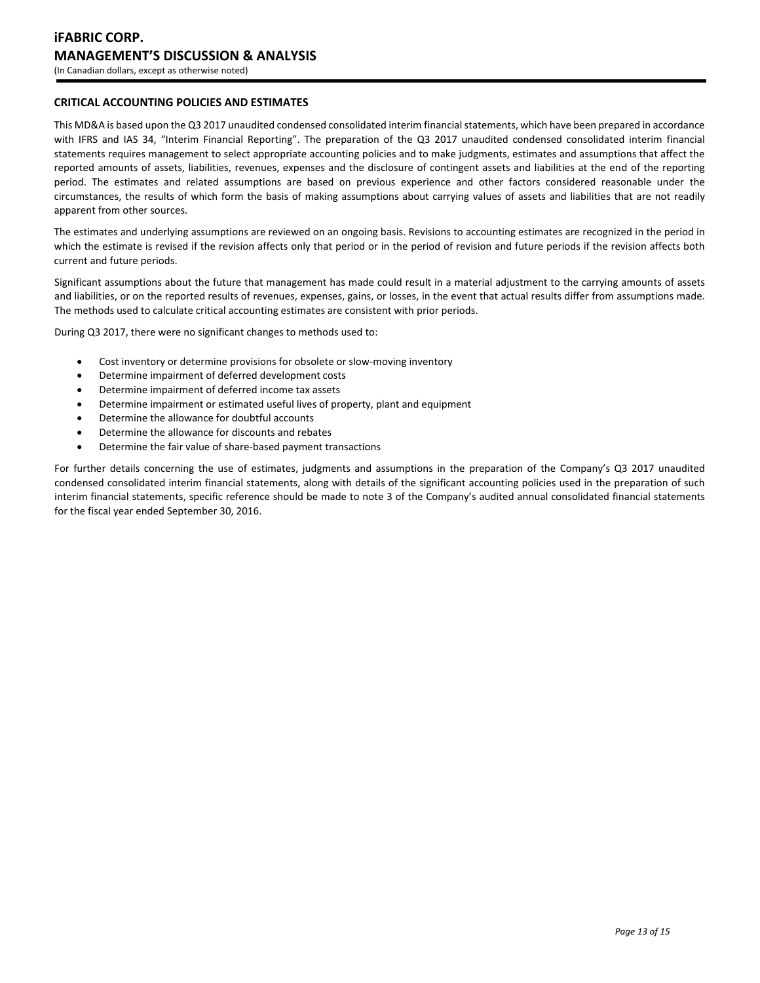# **CRITICAL ACCOUNTING POLICIES AND ESTIMATES**

This MD&A is based upon the Q3 2017 unaudited condensed consolidated interim financial statements, which have been prepared in accordance with IFRS and IAS 34, "Interim Financial Reporting". The preparation of the Q3 2017 unaudited condensed consolidated interim financial statements requires management to select appropriate accounting policies and to make judgments, estimates and assumptions that affect the reported amounts of assets, liabilities, revenues, expenses and the disclosure of contingent assets and liabilities at the end of the reporting period. The estimates and related assumptions are based on previous experience and other factors considered reasonable under the circumstances, the results of which form the basis of making assumptions about carrying values of assets and liabilities that are not readily apparent from other sources.

The estimates and underlying assumptions are reviewed on an ongoing basis. Revisions to accounting estimates are recognized in the period in which the estimate is revised if the revision affects only that period or in the period of revision and future periods if the revision affects both current and future periods.

Significant assumptions about the future that management has made could result in a material adjustment to the carrying amounts of assets and liabilities, or on the reported results of revenues, expenses, gains, or losses, in the event that actual results differ from assumptions made. The methods used to calculate critical accounting estimates are consistent with prior periods.

During Q3 2017, there were no significant changes to methods used to:

- Cost inventory or determine provisions for obsolete or slow-moving inventory
- Determine impairment of deferred development costs
- Determine impairment of deferred income tax assets
- Determine impairment or estimated useful lives of property, plant and equipment
- Determine the allowance for doubtful accounts
- Determine the allowance for discounts and rebates
- Determine the fair value of share-based payment transactions

For further details concerning the use of estimates, judgments and assumptions in the preparation of the Company's Q3 2017 unaudited condensed consolidated interim financial statements, along with details of the significant accounting policies used in the preparation of such interim financial statements, specific reference should be made to note 3 of the Company's audited annual consolidated financial statements for the fiscal year ended September 30, 2016.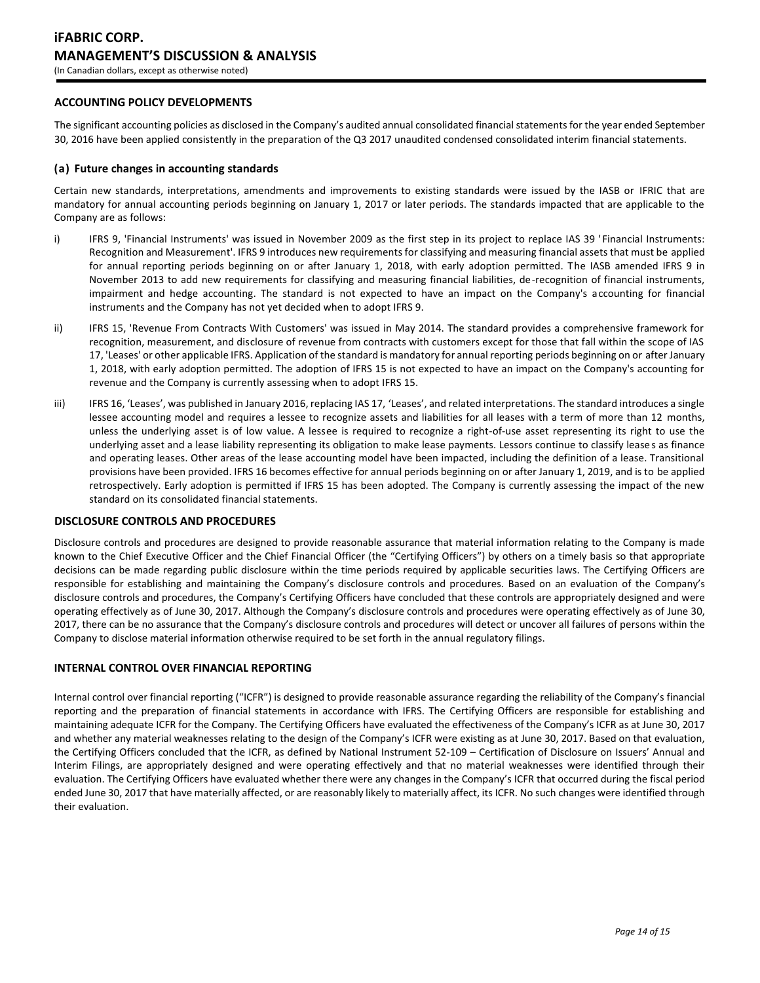# **ACCOUNTING POLICY DEVELOPMENTS**

The significant accounting policies as disclosed in the Company's audited annual consolidated financial statements for the year ended September 30, 2016 have been applied consistently in the preparation of the Q3 2017 unaudited condensed consolidated interim financial statements.

## **(a) Future changes in accounting standards**

Certain new standards, interpretations, amendments and improvements to existing standards were issued by the IASB or IFRIC that are mandatory for annual accounting periods beginning on January 1, 2017 or later periods. The standards impacted that are applicable to the Company are as follows:

- i) IFRS 9, 'Financial Instruments' was issued in November 2009 as the first step in its project to replace IAS 39 'Financial Instruments: Recognition and Measurement'. IFRS 9 introduces new requirements for classifying and measuring financial assets that must be applied for annual reporting periods beginning on or after January 1, 2018, with early adoption permitted. The IASB amended IFRS 9 in November 2013 to add new requirements for classifying and measuring financial liabilities, de-recognition of financial instruments, impairment and hedge accounting. The standard is not expected to have an impact on the Company's accounting for financial instruments and the Company has not yet decided when to adopt IFRS 9.
- ii) IFRS 15, 'Revenue From Contracts With Customers' was issued in May 2014. The standard provides a comprehensive framework for recognition, measurement, and disclosure of revenue from contracts with customers except for those that fall within the scope of IAS 17, 'Leases' or other applicable IFRS. Application of the standard is mandatory for annual reporting periods beginning on or after January 1, 2018, with early adoption permitted. The adoption of IFRS 15 is not expected to have an impact on the Company's accounting for revenue and the Company is currently assessing when to adopt IFRS 15.
- iii) IFRS 16, 'Leases', was published in January 2016, replacing IAS 17, 'Leases', and related interpretations. The standard introduces a single lessee accounting model and requires a lessee to recognize assets and liabilities for all leases with a term of more than 12 months, unless the underlying asset is of low value. A lessee is required to recognize a right-of-use asset representing its right to use the underlying asset and a lease liability representing its obligation to make lease payments. Lessors continue to classify leases as finance and operating leases. Other areas of the lease accounting model have been impacted, including the definition of a lease. Transitional provisions have been provided. IFRS 16 becomes effective for annual periods beginning on or after January 1, 2019, and is to be applied retrospectively. Early adoption is permitted if IFRS 15 has been adopted. The Company is currently assessing the impact of the new standard on its consolidated financial statements.

## **DISCLOSURE CONTROLS AND PROCEDURES**

Disclosure controls and procedures are designed to provide reasonable assurance that material information relating to the Company is made known to the Chief Executive Officer and the Chief Financial Officer (the "Certifying Officers") by others on a timely basis so that appropriate decisions can be made regarding public disclosure within the time periods required by applicable securities laws. The Certifying Officers are responsible for establishing and maintaining the Company's disclosure controls and procedures. Based on an evaluation of the Company's disclosure controls and procedures, the Company's Certifying Officers have concluded that these controls are appropriately designed and were operating effectively as of June 30, 2017. Although the Company's disclosure controls and procedures were operating effectively as of June 30, 2017, there can be no assurance that the Company's disclosure controls and procedures will detect or uncover all failures of persons within the Company to disclose material information otherwise required to be set forth in the annual regulatory filings.

### **INTERNAL CONTROL OVER FINANCIAL REPORTING**

Internal control over financial reporting ("ICFR") is designed to provide reasonable assurance regarding the reliability of the Company's financial reporting and the preparation of financial statements in accordance with IFRS. The Certifying Officers are responsible for establishing and maintaining adequate ICFR for the Company. The Certifying Officers have evaluated the effectiveness of the Company's ICFR as at June 30, 2017 and whether any material weaknesses relating to the design of the Company's ICFR were existing as at June 30, 2017. Based on that evaluation, the Certifying Officers concluded that the ICFR, as defined by National Instrument 52-109 – Certification of Disclosure on Issuers' Annual and Interim Filings, are appropriately designed and were operating effectively and that no material weaknesses were identified through their evaluation. The Certifying Officers have evaluated whether there were any changes in the Company's ICFR that occurred during the fiscal period ended June 30, 2017 that have materially affected, or are reasonably likely to materially affect, its ICFR. No such changes were identified through their evaluation.